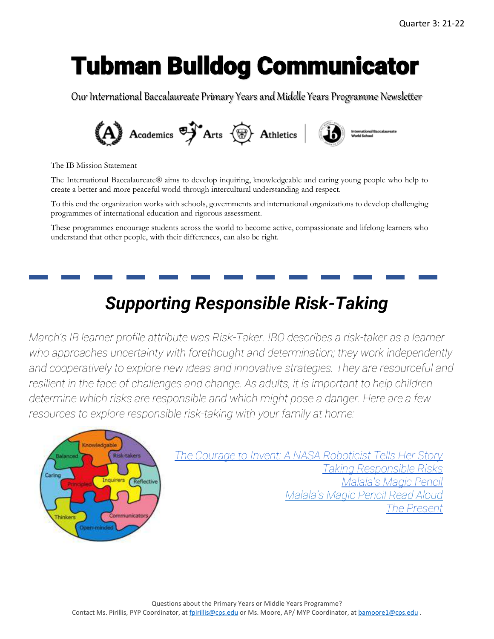# Tubman Bulldog Communicator

Our International Baccalaureate Primary Years and Middle Years Programme Newsletter



The IB Mission Statement

The International Baccalaureate® aims to develop inquiring, knowledgeable and caring young people who help to create a better and more peaceful world through intercultural understanding and respect.

To this end the organization works with schools, governments and international organizations to develop challenging programmes of international education and rigorous assessment.

These programmes encourage students across the world to become active, compassionate and lifelong learners who understand that other people, with their differences, can also be right.

### *Supporting Responsible Risk-Taking*

*March's IB learner profile attribute was Risk-Taker. IBO describes a risk-taker as a learner who approaches uncertainty with forethought and determination; they work independently and cooperatively to explore new ideas and innovative strategies. They are resourceful and*  resilient in the face of challenges and change. As adults, it is important to help children *determine which risks are responsible and which might pose a danger. Here are a few resources to explore responsible risk-taking with your family at home:*



*[The Courage to Invent: A NASA Roboticist Tells Her Story](https://www.youtube.com/watch?v=PSu52CAtpf8&feature=youtu.be) Taking [Responsible](https://www.youtube.com/watch?v=6rravJ7RVsY) Risks [Malala's Magic Pencil](https://www.youtube.com/watch?v=jWKYalbPLRY&feature=youtu.be) [Malala's Magic Pencil Read Aloud](https://www.youtube.com/watch?v=Hu2XZ_jtX2U) [The Present](https://www.youtube.com/watch?v=WjqiU5FgsYc)*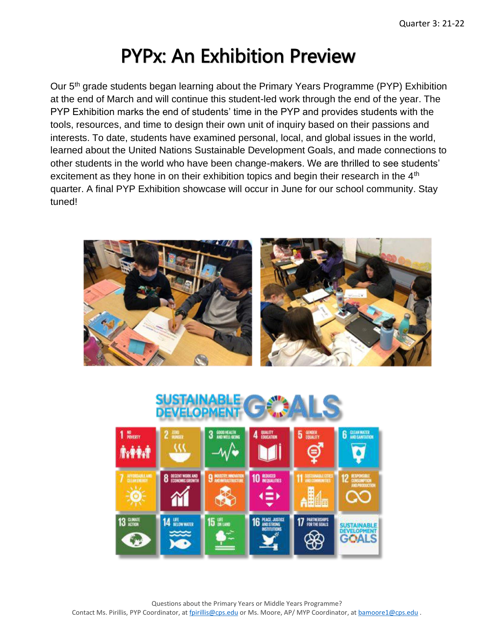### PYPx: An Exhibition Preview

Our 5th grade students began learning about the Primary Years Programme (PYP) Exhibition at the end of March and will continue this student-led work through the end of the year. The PYP Exhibition marks the end of students' time in the PYP and provides students with the tools, resources, and time to design their own unit of inquiry based on their passions and interests. To date, students have examined personal, local, and global issues in the world, learned about the United Nations Sustainable Development Goals, and made connections to other students in the world who have been change-makers. We are thrilled to see students' excitement as they hone in on their exhibition topics and begin their research in the 4<sup>th</sup> quarter. A final PYP Exhibition showcase will occur in June for our school community. Stay tuned!



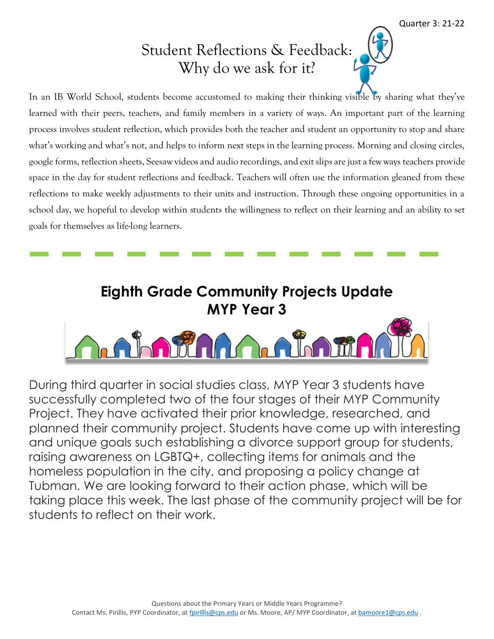#### Student Reflections & Feedback: Why do we ask for it?

In an IB World School, students become accustomed to making their thinking visible by sharing what they've learned with their peers, teachers, and family members in a variety of ways. An important part of the learning process involves student reflection, which provides both the teacher and student an opportunity to stop and share what's working and what's not, and helps to inform next steps in the learning process. Morning and closing circles, google forms, reflection sheets, Seesaw videos and audio recordings, and exit slips are just a few ways teachers provide space in the day for student reflections and feedback. Teachers will often use the information gleaned from these reflections to make weekly adjustments to their units and instruction. Through these ongoing opportunities in a school day, we hopeful to develop within students the willingness to reflect on their learning and an ability to set goals for themselves as life-long learners.

## **Eighth Grade Community Projects Update MYP Year 3** a alama

During third quarter in social studies class, MYP Year 3 students have successfully completed two of the four stages of their MYP Community Project. They have activated their prior knowledge, researched, and planned their community project. Students have come up with interesting and unique goals such establishing a divorce support group for students, raising awareness on LGBTQ+, collecting items for animals and the homeless population in the city, and proposing a policy change at Tubman. We are looking forward to their action phase, which will be taking place this week. The last phase of the community project will be for students to reflect on their work.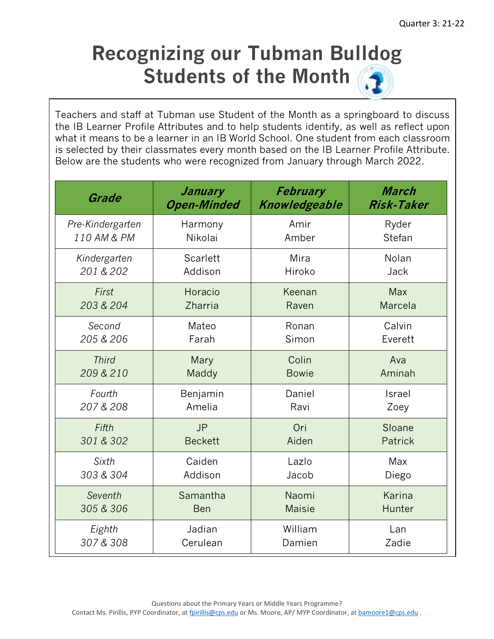### **Recognizing our Tubman Bulldog Students of the Month**

Teachers and staff at Tubman use Student of the Month as a springboard to discuss the IB Learner Profile Attributes and to help students identify, as well as reflect upon what it means to be a learner in an IB World School. One student from each classroom is selected by their classmates every month based on the IB Learner Profile Attribute. Below are the students who were recognized from January through March 2022.

| Grade            | January            | <b>February</b> | March             |
|------------------|--------------------|-----------------|-------------------|
|                  | <b>Open-Minded</b> | Knowledgeable   | <b>Risk-Taker</b> |
| Pre-Kindergarten | Harmony            | Amir            | Ryder             |
| 110 AM & PM      | Nikolai            | Amber           | Stefan            |
| Kindergarten     | Scarlett           | Mira            | Nolan             |
| 201 & 202        | Addison            | Hiroko          | Jack              |
| First            | Horacio            | Keenan          | <b>Max</b>        |
| 203 & 204        | Zharria            | Raven           | Marcela           |
| Second           | Mateo              | Ronan           | Calvin            |
| 205 & 206        | Farah              | Simon           | Everett           |
| <b>Third</b>     | Mary               | Colin           | Ava               |
| 209 & 210        | Maddy              | <b>Bowie</b>    | Aminah            |
| Fourth           | Benjamin           | Daniel          | Israel            |
| 207 & 208        | Amelia             | Ravi            | Zoey              |
| Fifth            | <b>JP</b>          | Ori             | Sloane            |
| 301 & 302        | <b>Beckett</b>     | Aiden           | <b>Patrick</b>    |
| Sixth            | Caiden             | Lazlo           | Max               |
| 303 & 304        | Addison            | Jacob           | Diego             |
| Seventh          | Samantha           | Naomi           | Karina            |
| 305 & 306        | <b>Ben</b>         | <b>Maisie</b>   | Hunter            |
| Eighth           | Jadian             | William         | Lan               |
| 307 & 308        | Cerulean           | Damien          | Zadie             |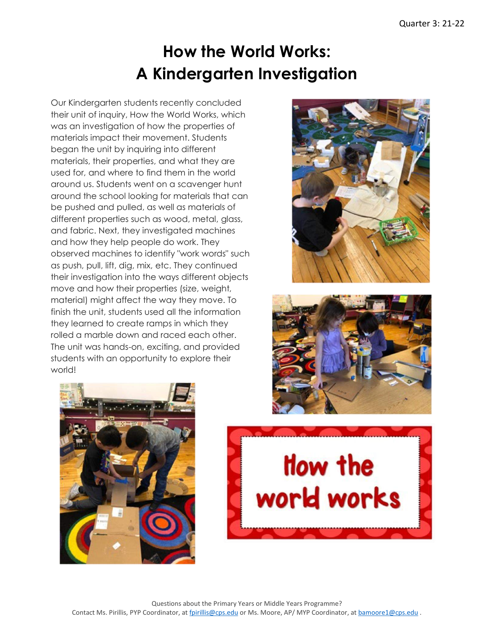#### **How the World Works: A Kindergarten Investigation**

Our Kindergarten students recently concluded their unit of inquiry, How the World Works, which was an investigation of how the properties of materials impact their movement. Students began the unit by inquiring into different materials, their properties, and what they are used for, and where to find them in the world around us. Students went on a scavenger hunt around the school looking for materials that can be pushed and pulled, as well as materials of different properties such as wood, metal, glass, and fabric. Next, they investigated machines and how they help people do work. They observed machines to identify "work words" such as push, pull, lift, dig, mix, etc. They continued their investigation into the ways different objects move and how their properties (size, weight, material) might affect the way they move. To finish the unit, students used all the information they learned to create ramps in which they rolled a marble down and raced each other. The unit was hands-on, exciting, and provided students with an opportunity to explore their world!







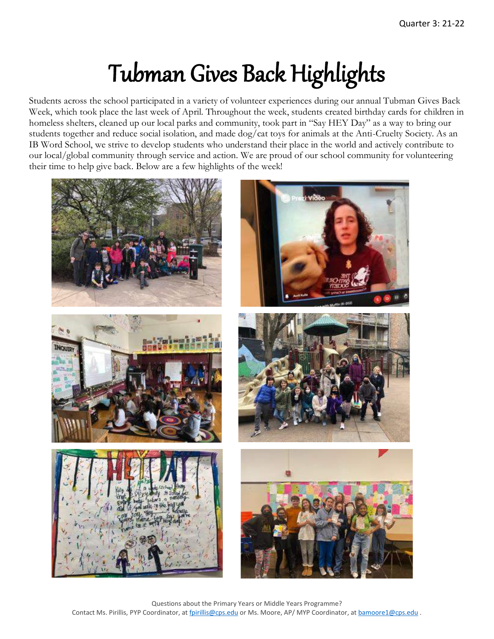# Tubman Gives Back Highlights

Students across the school participated in a variety of volunteer experiences during our annual Tubman Gives Back Week, which took place the last week of April. Throughout the week, students created birthday cards for children in homeless shelters, cleaned up our local parks and community, took part in "Say HEY Day" as a way to bring our students together and reduce social isolation, and made dog/cat toys for animals at the Anti-Cruelty Society. As an IB Word School, we strive to develop students who understand their place in the world and actively contribute to our local/global community through service and action. We are proud of our school community for volunteering their time to help give back. Below are a few highlights of the week!